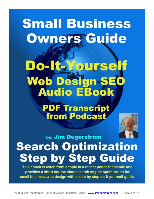# **Small Business Owners Guide**

# **Yourself Web Design SEO Audio EBook**

# **PDF Transcript from Podcast**



# by: Jim Degerstrom **Search Optimization Step by Step Guide**

This ebook is taken from a topic in a recent podcast episode and provides a short course about search engine optimization for small business web design with a step by step do-it-yourself guide.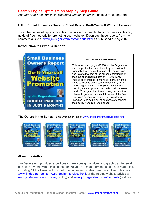*Another Free Small Business Resource Center Report* written by Jim Degerstrom

#### **OTHER Small Business Owners Report Series: Do-It-Yourself Website Promotion**

This other series of reports includes 6 separate documents that combine for a thorough guide of free methods for promoting your website. Download these reports from my commercial site at [www.jimdegerstrom.com/reports.html](http://www.jimdegerstrom.com/reports.html) as published during 2007.

#### **Introduction to Previous Reports**



#### **DISCLAIMER STATEMENT**

This report is copyright ©2008 by Jim Degerstrom and the publication is protected by international copyright law. The contents are offered as-is and accurate to the best of the author's knowledge at the time of original publication. No warranty implied or expressed is intended in providing this guide to website owners, and results may vary depending on the quality of your site content and due diligence employing the methods documented herein. The dynamics of search engines and the internet in general may result in some of the free resources becoming obsolete due to external linked sources going out of business or changing their policy from free to fee-based.

#### **The Others in the Series** (*All featured on my site at* [www.jimdegerstrom.com/reports.html](http://www.jimdegerstrom.com/reports.html))



#### **About the Author**

Jim Degerstrom provides expert custom web design services and graphic art for small business owners with advice based on 30 years in management, sales, and marketing, including GM or President of small companies in 5 states. Learn about web design at [www.jimdegerstrom.com/web-design-services.html](http://www.jimdegerstrom.com/web-design-services.html), or the related website advice at [www.jimdegerstrom.com/blog/](http://www.jimdegerstrom.com/blog/) (blog) and [www.jimdegerstrom.com/podcast/](http://www.jimdegerstrom.com/podcast/) (podcast).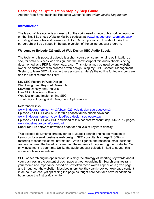Another Free Small Business Resource Center Report *written by Jim Degerstrom*

# **Introduction**

The layout of this ebook is a transcript of the script used to record this podcast episode on the Small Business Website Mailbag podcast at [www.jimdegerstrom.com/podcast/](http://www.jimdegerstrom.com/podcast/) including show notes and referenced links. Certain portions in this ebook (like this paragraph) will be skipped in the audio version of the online podcast program.

#### **Welcome to Episode 027 entitled Web Design SEO Audio Ebook**.

The topic for this podcast episode is a short course on search engine optimization, or seo, for small business web design, and the show script of this audio ebook is being documented as a PDF for download, also. This tutorial may be used by any website owner, or customers who ordered a web design using my CMS, Content Management System, to learn SEO without further assistance. Here's the outline for today's program and the list of referenced links:

Key SEO Factors in Web Design Web Design and Keyword Research Keyword Density and Analysis Free SEO Analysis Software Web Design and Implementing SEO Tip of Day - Ongoing Web Design and Optimization

Referenced links:

[www.jimdegerstrom.com/mp3/sbwm-027-web-design-seo-ebook.mp3](http://www.jimdegerstrom.com/mp3/sbwm-027-web-design-seo-ebook.mp3)  Episode 27 SEO EBook MP3 for this podcast audio ebook download [www.jimdegerstrom.com/download/web-design-seo-ebook.zip](http://www.jimdegerstrom.com/download/web-design-seo-ebook.zip)  Episode 27 SEO EBook PDF download of this podcast transcript (zip, 444Kb, 12 pages) [www.dupefreepro.com/#download](http://www.dupefreepro.com/#download) DupeFree Pro software download page for analysis of keyword density

This episode documents strategy for do-it-yourself search engine optimization of keywords for a small business web design. SEO consultants charge \$1000's in recurring fees for this same information. With diligence and patience, small business owners can reap the benefits by learning these basics for optimizing their website. Your only investment is your time. Unlike the audio podcast episode limited to sound, this ebook contains illustrations.

SEO, or search engine optimization, is simply the strategy of inserting key words about your business in the content of each page without overdoing it. Search engines rank your theme and importance based on how often those words appear on a given page and throughout the website. Most beginners feel they can knock out web page content in an hour, or less, yet optimizing the page as taught here can take several additional hours once the first draft is written.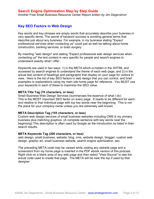Another Free Small Business Resource Center Report *written by Jim Degerstrom*

# **Key SEO Factors in Web Design**

Key words and key phrases are simply words that accurately describe your business in very specific terms. The secret of keyword success is avoiding general terms that describe just about any business. For example, in my business stating "Expect professional services when contacting us" could just as well be talking about home construction, banking services, or brain surgery.

By inserting "web design" and stating "Expect professional web design services when contacting us" the text content is very specific for people and search engines to understand exactly what I offer.

Keywords are used in two ways: 1) in the META which is hidden in the XHTML and accessed by search engines to understand the theme of each web page, and 2) in the actual text content of headings and paragraphs that display on your page for visitors to view. Here is the list of key SEO factors in web design that you can control, and brief examples or explanations using my main site home page for reference. You MUST use your keywords in each of these to maximize the SEO value.

#### **META Title Tag (70 characters, or less)**

Small Business Web Design Services (summarizes the essence of what I do) This is the MOST important SEO factor on every page. It needs to be different for each, and relative to that individual page with top key words near the beginning. This is not the place for your company name unless you are extremely well known.

#### **META Description Tag (155 characters, or less)**

Custom web design services of small business websites including CMS is my primary business plus matching graphics. (A complete sentence with key words near the beginning) This description is often used by Google as the introduction as listed in their search results.

#### **META Keywords Tag (200 characters, or less)**

web design, small business, website, blog, cms, website design, blogger, custom web design, graphic art, small business website, search engine optimization, seo

The preceding META code may be viewed while visiting any website page and a screenshot from my home page is inserted in the PDF ebook version of this podcast. Right click on a blank area of any web page and then select "View Source" to see the actual code used to create that page. The META will be near the top if used by that designer.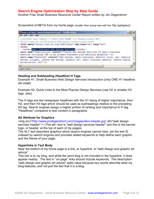Another Free Small Business Resource Center Report *written by Jim Degerstrom*

Screenshot of META from my home page *(smaller than actual size with the Title highlighted)*:

| Source of: http://www.jimdegerstrom.com/ - Mozilla Firefox                                                                                                                                                                                                                                      | $ \Box$ $\times$ |
|-------------------------------------------------------------------------------------------------------------------------------------------------------------------------------------------------------------------------------------------------------------------------------------------------|------------------|
| File Edit View Help                                                                                                                                                                                                                                                                             |                  |
| <td></td>                                                                                                                                                                                                                                                                                       |                  |
| "http://www.w3.org/TR/xhtml1/DTD/xhtml1-transitional.dtd">                                                                                                                                                                                                                                      |                  |
| <html lang="en" xml:lang="en" xmlns="http://www.w3.org/1999/xhtml"></html>                                                                                                                                                                                                                      |                  |
| <head><br/><title>Small Business Web Design Services</title></head>                                                                                                                                                                                                                             |                  |
| <meta <math="" content="Custom web design services of small business&lt;/td&gt;&lt;td&gt;&lt;/td&gt;&lt;/tr&gt;&lt;tr&gt;&lt;td&gt;vebsites including CMS is my primary business plus matching graphics." name="description"/> /                                                                |                  |
| <meta <="" content="web design, small business, website, blog, cms, website&lt;br&gt;design, blogger, custom web design, graphic art, small business website, search engine&lt;/td&gt;&lt;td&gt;&lt;/td&gt;&lt;/tr&gt;&lt;tr&gt;&lt;td&gt;optimization, see " name="keywords" td=""/> <td></td> |                  |
|                                                                                                                                                                                                                                                                                                 |                  |
| Line 4, Col 10                                                                                                                                                                                                                                                                                  |                  |

#### **Heading and Subheading (Headline) H Tags**

Example H1: Small Business Web Design Services Introduction (only ONE H1 headline per page)

Example H2: Quick Links to the Most Popular Design Services (use H2 or smaller H3 tags, also)

The H tags are like newspaper headlines with the H1 being of higher importance, then H2, and then H3 tags which should be used as subheadings relative to the preceding H2 tag. Search engines assign a higher portion of ranking and importance to H tag "Headlines" compared to text content in paragraphs.

#### **Alt Attribute for Graphics**

<img src="<http://www.jimdegerstrom.com/images/sbrc-header.jpg>" alt="web design services header" /> (The alt= text is "web design services header" and this is the banner logo, or header, at the top of each of my pages)

The ALT text describes graphics which search engines cannot view, yet the text IS indexed by search engines and provides added keywords to help define each graphic and the theme of your page.

#### **Hyperlinks in Text Body**

Near the bottom of my home page is a link, or hyperlink, to "web design and graphic art advice".

This link is to my blog, and while the word blog is not included in the hyperlink, it does appear nearby. The text in "on-page" links should include keywords. The description "web design and graphic art advice" adds value because key words describe what my blog features, and not just the fact that it is a blog.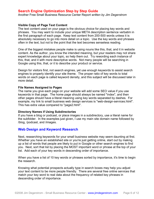Another Free Small Business Resource Center Report *written by Jim Degerstrom*

#### **Visible Copy of Page Text Content**

The text content used on your page is the obvious choice for placing key words and phrases. You may want to include your unique META description sentence verbatim in the first paragraph of each page. Keep text content from 200-500 words unless it is absolutely necessary to go into more detail on a topic. Use the key words and phrases often in the text, but not to the point that the text becomes senseless reading.

One of the biggest mistakes people make is using nouns like this, that, and it in website content. As the author, you know the intended meaning, but your readers may not share expert knowledge about your topic, so help them out. Try rewording each instance of this, that, and it with more descriptive words. Not many people will be searching in Google using this, that, or it to describe your product or service.

Design for visitors first, not search engines, yet use enough keywords to assist search engines to properly identify your site theme. The proper ratio of key words to total words on each page is called keyword density, and this subject will be discussed later in more detail.

#### **File Names Assigned to Pages**

The name you give each page on your website will add some SEO value if you use keywords in that page. The home page should always be named "index", and then other pages should have a literal meaning using key words separated by dashes. For example, my link to small business web design services is "web-design-services.html". This has extra value compared to "page2.html".

#### **Directory Names if Using Subdirectories**

If you have a blog or podcast, or place images in a subdirectory, use a literal name for the subfolder. In the examples just given, I use my main site domain name followed by /blog, /podcast, and /images.

# **Web Design and Keyword Research**

Next, researching keywords for your small business website may seem daunting at first. Whether you have an established site or you're just getting online, start out by making up a list of words that people are likely to put in Google or other search engines to find you. Next, sort that list by placing the MOST important word or phrase at the top of your list. Add each of your key words in descending order of importance.

When you have a list of 10 key words or phrases sorted by importance, it's time to begin the research.

Knowing what potential prospects actually type in search boxes may help you adjust your text content to be more people friendly. There are several free online services that match your key word to real data about the frequency of related key phrases in descending order of importance.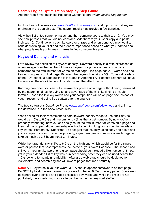Another Free Small Business Resource Center Report *written by Jim Degerstrom*

Go to a free online service at [www.KeyWordDiscovery.com](http://www.KeyWordDiscovery.com) and input your first key word or phrase in the search box. The search results may provide a few surprises.

View their list of top search phrases, and then compare yours to their top 10. You may see new phrases that you did not consider. Add them to your list or copy and paste their top 10. Continue with each keyword or phrase and when done you may want to consider revising your list and the order of importance based on what you learned about what people really put in search boxes to find someone like you.

# **Keyword Density and Analysis**

Let's review the definition of keyword density. Keyword density is a ratio expressed as a percentage from the number of times a keyword or phrase appears on a page compared to the total number of words on that page. If a page has 200 words and one key word appears on that page 10 times, the keyword density is 5%. To assist readers of the PDF ebook, a page outline is included in Appendix A. Podcast listeners will have to download the ebook to view illustrations and the attachments.

Knowing how often you can put a keyword or phrase on a page without being penalized by the search engines for trying to take advantage of them is like finding a magic formula. Insert too few key words and your competition will be on page one instead of you. I recommend using free software for the analysis.

The free software is DupeFree Pro at [www.dupefreepro.com/#download](http://www.dupefreepro.com/#download) and a link to the download is in the show notes, also.

When asked for their recommended safe keyword density range to use, their advice would be 1.5% to 6.5% and I recommend 4% as the target number. By now you're probably wondering, how you can easily count the total number of words on a page and then get the proper ratio or percentage without spending long hours counting words and key words. Fortunately, DupeFreePro does just that instantly using copy and paste and just a couple of clicks. To do this properly, expect analysis and rewrite of each page to take as much as 2-3 hours, not 2-3 minutes.

While the target density is 4% to 6.5% on the high end, which would be for the single word or phrase that best represents the theme of your overall website. The second and still very important keyword for a given page should be included a like number of times, yet in your extended list of key words in descending order they can be used nearer the 1.5% low end to maintain readability. After all, a web page should be designed for visitors first, and search engines will reward pages that read naturally.

**Note:** ALL keywords in your keyword META should appear somewhere on that page! Do NOT try to stuff every keyword or phrase for the full 6.5% on every page. Some web designers over-optimize and place excessive key words and while the limits are not published, the experts know your site can be banned for keyword stuffing.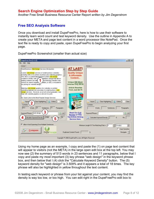Another Free Small Business Resource Center Report *written by Jim Degerstrom*

# **Free SEO Analysis Software**

Once you download and install DupeFreePro, here is how to use their software to instantly learn word count and test keyword density. Use the outline in Appendix A to create your META and page text content in a word processor like NotePad. Once the text file is ready to copy and paste, open DupeFreePro to begin analyzing your first page.

| DupeFree Pro [1.1.2]                                                                                                                                                                                                                                                                                                                                                                                                                                                                                                                                                                                                                                                                                                                                                                                                                                                                                                                                             |                                                                                                                                                                                                                                                                                                                                                                                                                           | $ \Box$ x                            |
|------------------------------------------------------------------------------------------------------------------------------------------------------------------------------------------------------------------------------------------------------------------------------------------------------------------------------------------------------------------------------------------------------------------------------------------------------------------------------------------------------------------------------------------------------------------------------------------------------------------------------------------------------------------------------------------------------------------------------------------------------------------------------------------------------------------------------------------------------------------------------------------------------------------------------------------------------------------|---------------------------------------------------------------------------------------------------------------------------------------------------------------------------------------------------------------------------------------------------------------------------------------------------------------------------------------------------------------------------------------------------------------------------|--------------------------------------|
| Edit Help<br>Fëe i<br>Article 1                                                                                                                                                                                                                                                                                                                                                                                                                                                                                                                                                                                                                                                                                                                                                                                                                                                                                                                                  | Article 2                                                                                                                                                                                                                                                                                                                                                                                                                 |                                      |
| Small Business Web Design Services Introduction<br>Custom web design services of small business websites<br>including CMS is my primary business plus matching graphics.<br>This site is a Content Management System web design<br>evolutions that allows<br>created in XHTML with CZ<br>adding content in an edit<br>jout learning website code.<br>ation, or SEO, is included in<br>Advice for search engines<br>my pricing for website design.<br>Matching web design graphics for websites or printed<br>marketing materials are secondary to small business web<br>design services. However, as an art school graduate, I can<br>help with website graphics or artwork for print.<br>h2. Quick Links to the Most Popular Design Services<br>Clear Highlighting<br>Clear<br>Importy<br>Online<br>Contains<br>513<br>Words, 23<br>Sentences, 11<br>Paragraphic<br>Keyword Phrase : web design<br><b>&amp; LSI</b><br>3.509<br>l18<br>alculate Keyword Density | <b>AT LAST!</b><br><b>Quality Unique</b><br>& Affordable<br>Content<br>Unique 550 Word<br>Articles Only \$5.52<br><b>Article Rewrites</b><br>From Just \$4.75<br>plomated true<br><b>Aritime Milen</b><br>Clear Highlighting<br>I Import<br>Orline<br>m<br>Contains<br>Words.<br>Sentences.<br><b>Read Our Full</b><br>Kewword Phrase<br><b>Review of This</b><br><b>Top Article Writing</b><br>Calculate Keyword Density | Clear<br>Paragraphs<br>$-151$<br>No. |
| Allow Word Spanning Over Multiple Sentences<br>Compare<br>Dupe<br>Périth                                                                                                                                                                                                                                                                                                                                                                                                                                                                                                                                                                                                                                                                                                                                                                                                                                                                                         | Service Here.<br>Word(s)<br>Minimum Length Of The Matching Parts = 4<br>Duplicate Content Found                                                                                                                                                                                                                                                                                                                           | Case Sensitive<br>Navigate =         |
|                                                                                                                                                                                                                                                                                                                                                                                                                                                                                                                                                                                                                                                                                                                                                                                                                                                                                                                                                                  | Copyright @ 2006 DupeFreePro.com, All Rights Reserved                                                                                                                                                                                                                                                                                                                                                                     |                                      |

DupeFreePro Screenshot (smaller than actual size)

Using my home page as an example, I copy and paste the (1) on page text content that will appear to visitors (not the META) in the large open edit box at the top left. You may now see (2) the summary of 513 words in 23 sentences and 11 paragraphs, below that I copy and paste my most important (3) key phrase "web design" in the keyword phrase box, and then below that I (4) click the "Calculate Keyword Density" button. The (5) keyword density for "web design" is 3.509% and it appears a total of 18 times. The key phrase will also be highlighted in yellow throughout the text content.

In testing each keyword or phrase from your list against your content, you may find the density is way too low, or too high. You can edit right in the DupeFreePro edit box to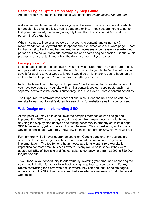Another Free Small Business Resource Center Report *written by Jim Degerstrom*

make adjustments and recalculate as you go. Be sure to have your content readable for people. My example just given is done and online. It took several hours to get to that point. As noted, the density is slightly lower than the optimum 4%, but at 3.5 percent that's okay, too.

When it comes to inserting key words into your site content, and using my 4% recommendation, a key word should appear about 20 times on a 500 word page. Shoot for that target to begin, and be prepared to test increases or decreases over extended periods of time as you track site performance and search engine position. Continue this process to analyze, test, and adjust the density of each of your pages.

#### **Backup your work!**

Once a page is done and especially if you edit within DupeFreePro, make sure to copy and paste ALL your changes from the edit box back into your NotePad file before you save it for adding to your website later. It would be a nightmare to spend hours on an edit just to exit DupeFreePro and realize everything was lost.

Note: The blank box to the right in DupeFreePro is for testing for duplicate content. If you have two pages on your site with similar content, you can copy paste each in a separate box to test that each is sufficiently unique to avoid duplicate content penalties.

The DupeFreePro software has other options, also. Read the help files or visit their website to learn additional features like searching for websites stealing your content.

# **Web Design and Implementing SEO**

At this point you may be in shock over the complex methods of web design and implementing SEO, search engine optimization. From experience with clients and advising the step by step analysis and testing necessary to properly optimize a page, SEO is necessary, yet no one said it would be easy. This is hard work, and explains why good consultants who truly know how to implement proper SEO are very well paid.

Furthermore, while I never guarantee any client Google page one; my designs are optimized for search engines with code and content evaluation and very basic implementation. The fee for long hours necessary to fully optimize a website is impractical for most small business owners. Many would be in shock if they were quoted full SEO of their site and find consultants get anywhere from \$5000 to \$20,000 for just one site.

This tutorial is your opportunity to add value by investing your time, and enhancing the search optimization for your site without paying large fees to a consultant. For my clients contracting for a cms web design where they can add, edit, or delete pages, understanding the SEO buzz words and tasks needed are necessary for do-it-yourself web design.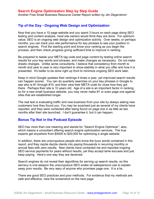Another Free Small Business Resource Center Report *written by Jim Degerstrom*

# **Tip of the Day - Ongoing Web Design and Optimization**

Now that you have a 10 page website and you spent 3 hours on each page doing SEO testing and content analysis, most site owners would think they are done. For optimum value, SEO is an ongoing web design and optimization activity. Over weeks, or perhaps months, you can track your site performance for key phrases to see your position in search engines. Find the starting point and know your ranking as you begin the process, and then check progress giving sufficient time to improve in ranking.

Be prepared to tweak your META tag code and page content by testing online search results for your key words and phrases, and make changes as necessary. Do not make drastic changes. Unlike some consultants, I believe that consistency from month to month and year to year is very important to show stability in what you offer and how it is presented. It's better to be done right up front to minimize ongoing SEO work later.

Keep in mind Google updates their rankings 4 times a year, yet improved search results can happen sooner. You can do quarterly searches on your key phrases in Google to see who is #1 through #10, and then view their META code for clues how they got there. Perhaps their site is 10 years old. Age of a site is an important factor in ranking, so for a new small business website, you may never make #1 or even page one against sites that are established longer.

The real test is evaluating traffic and new business from your site by always asking new customers how they found you. You may be surprised just as several of my clients have reported, and they were contacted after being found on page one in as little as two months after their site launched. I don't guarantee it, but it can happen.

# **Bonus Tip Not in the Podcast Episode**

SEO has more than one meaning and stands for "Search Engine Optimizer", also, which means a consultant offering search engine optimization services. The true experts get anywhere from \$5000 to \$20,000 for optimizing a single website.

In addition, there are unscrupulous people who know the buzz words contained in this report, and they razzle dazzle clients into paying thousands in recurring monthly or annual fees with zero results. New clients have contacted me and reported ongoing SEO service payments for years without results, yet they accept lame excuses and just keep paying. Here's one way they are deceived.

Search engines do not reveal their algorithms for serving up search results, so this secrecy is one weapon the unscrupulous SEO snake oil salespersons use to explain away poor results. Be very wary of anyone who promises page one. It is a lie.

There are good SEO practices and poor methods. For evidence that my methods are safe and effective, view the screenshot on the next page.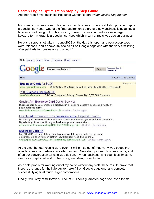Another Free Small Business Resource Center Report *written by Jim Degerstrom*

My primary business is web design for small business owners, yet I also provide graphic art design services. One of the first requirements starting a new business is acquiring a business card design. For this reason, I have business card artwork as a target keyword for my graphic art design services which in turn attracts web design business.

Here is a screenshot taken in June 2008 on the day this report and podcast episode were released, and it shows my site as #1 on Google page one with the very first listing after paid ads for "business card artwork".

| Shopping Gmail<br>Web<br>Maps News<br>Images<br>more <b>v</b>                                                                                                                                                                                                                                                                                                                                                                                                                                                                                                                                                                                                                  |
|--------------------------------------------------------------------------------------------------------------------------------------------------------------------------------------------------------------------------------------------------------------------------------------------------------------------------------------------------------------------------------------------------------------------------------------------------------------------------------------------------------------------------------------------------------------------------------------------------------------------------------------------------------------------------------|
| business card artwork<br><b>Advanced Search</b><br>Search<br>Preferences                                                                                                                                                                                                                                                                                                                                                                                                                                                                                                                                                                                                       |
| Web<br>Results 1 - 10 of about                                                                                                                                                                                                                                                                                                                                                                                                                                                                                                                                                                                                                                                 |
| Sponsored Li<br><b>Business Cards for \$9.95</b><br>www.OvernightPrints.com<br>Order Online, 15pt Card Stock, Full Color Offset Quality, Free Uploads<br>250 Business Cards - \$3,99<br>www.VistaPrint.com<br>Full-Color Design and Printing. Chosen By 13,000,000 Customers!<br>Graphic Art   Business Card Design Services<br>Business card design services are displayed in full color with custom logos, and a variety of<br>photo business cards.                                                                                                                                                                                                                         |
| www.jimdegerstrom.com/cards.html - 12k - Cached - Similar pages<br>Use clip art to make your own business cards - Help and How-to<br>Because your business cards represent you and your company, you want them to stand out.<br>By selecting clip art specific to your business, you can personalize<br>office.microsoft.com/en-us/help/HAD11921781033.aspx - 46k - Cached - Similar pages<br><b>Business Card Art</b><br>May 10, 2007  Some of these Cool business card designs rounded up by Ivan at<br>creativebits are such works of art that they'd look really cool framed and<br>desktoppub.about.com/b/2007/05/10/business-card-art.htm - 22k - Cached - Similar pages |

At the time the total results were over 13 million, so out of that many web pages that offer business card artwork, my site was first. New startups need business cards, and often our conversation turns to web design, my real business, and countless times my clients for graphic art end up becoming web design clients, too.

As a sole proprietor working out of my home without any staff, these results prove that there is a chance for the little guy to make #1 on Google page one, and compete successfully against much larger corporations.

Finally, will I stay at #1 forever? I doubt it. I don't guarantee page one, even for me!